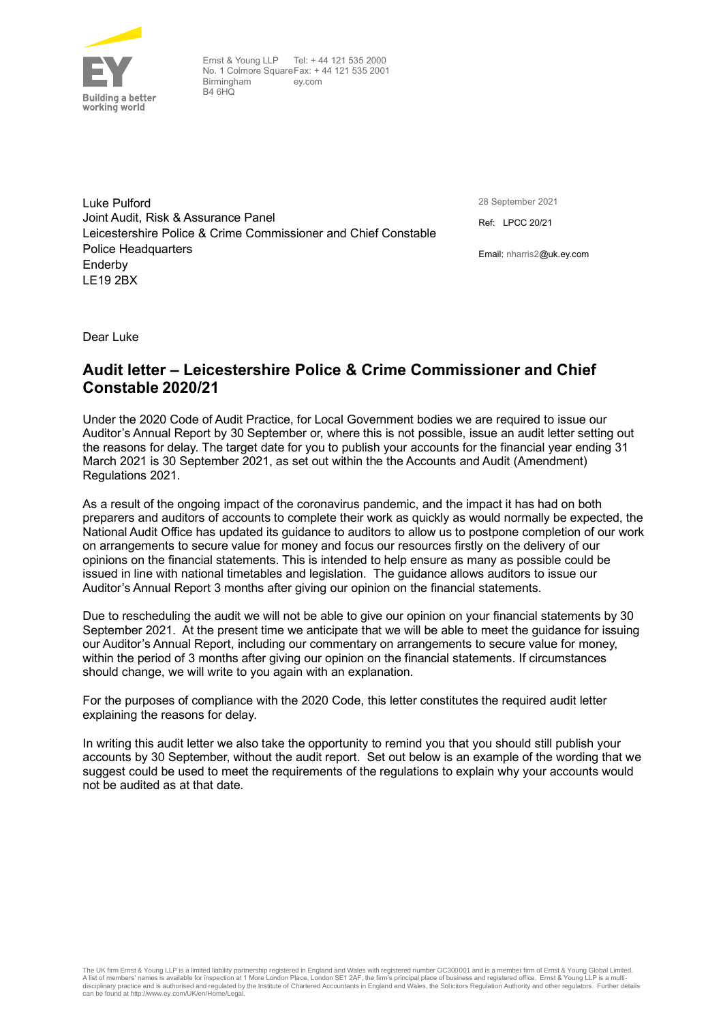

Ernst & Young LLP Tel: + 44 121 535 2000 No. 1 Colmore Square Fax: + 44 121 535 2001 Birmingham  $BA$  $GHO$ ey.com

Luke Pulford Joint Audit, Risk & Assurance Panel Leicestershire Police & Crime Commissioner and Chief Constable Police Headquarters Enderby LE19 2BX

28 September 2021

Ref: LPCC 20/21

Email: nharris2@uk.ey.com

Dear Luke

## **Audit letter – Leicestershire Police & Crime Commissioner and Chief Constable 2020/21**

Under the 2020 Code of Audit Practice, for Local Government bodies we are required to issue our Auditor's Annual Report by 30 September or, where this is not possible, issue an audit letter setting out the reasons for delay. The target date for you to publish your accounts for the financial year ending 31 March 2021 is 30 September 2021, as set out within the the Accounts and Audit (Amendment) Regulations 2021.

As a result of the ongoing impact of the coronavirus pandemic, and the impact it has had on both preparers and auditors of accounts to complete their work as quickly as would normally be expected, the National Audit Office has updated its guidance to auditors to allow us to postpone completion of our work on arrangements to secure value for money and focus our resources firstly on the delivery of our opinions on the financial statements. This is intended to help ensure as many as possible could be issued in line with national timetables and legislation. The guidance allows auditors to issue our Auditor's Annual Report 3 months after giving our opinion on the financial statements.

Due to rescheduling the audit we will not be able to give our opinion on your financial statements by 30 September 2021. At the present time we anticipate that we will be able to meet the guidance for issuing our Auditor's Annual Report, including our commentary on arrangements to secure value for money, within the period of 3 months after giving our opinion on the financial statements. If circumstances should change, we will write to you again with an explanation.

For the purposes of compliance with the 2020 Code, this letter constitutes the required audit letter explaining the reasons for delay.

In writing this audit letter we also take the opportunity to remind you that you should still publish your accounts by 30 September, without the audit report. Set out below is an example of the wording that we suggest could be used to meet the requirements of the regulations to explain why your accounts would not be audited as at that date.